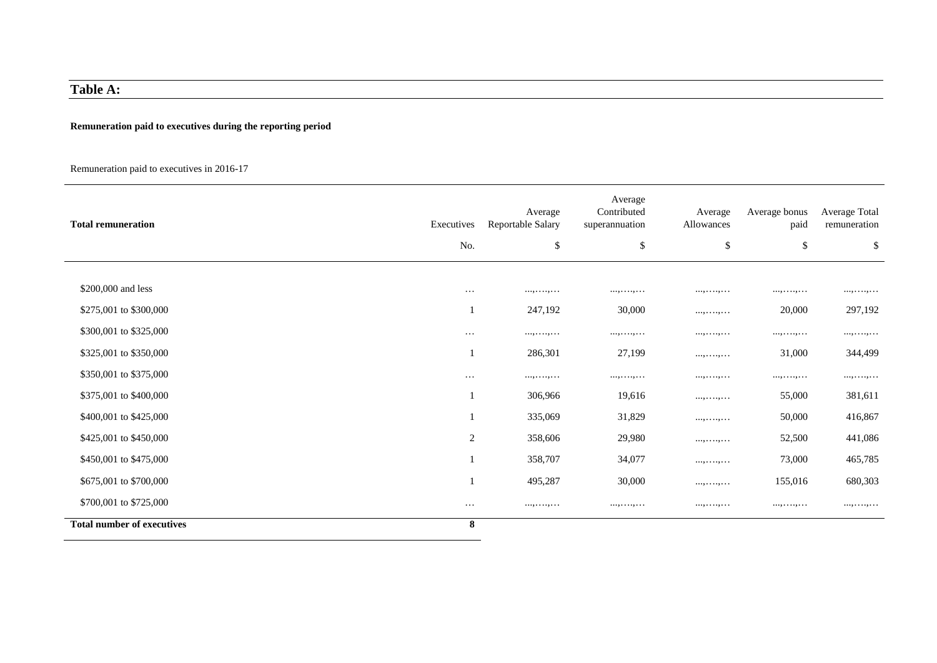# **Table A:**

### **Remuneration paid to executives during the reporting period**

### Remuneration paid to executives in 2016-17

| <b>Total remuneration</b>         | Executives     | Average<br>Reportable Salary | Average<br>Contributed<br>superannuation | Average<br>Allowances | Average bonus<br>paid | Average Total<br>remuneration |
|-----------------------------------|----------------|------------------------------|------------------------------------------|-----------------------|-----------------------|-------------------------------|
|                                   | No.            | \$                           | \$                                       | $\$\,$                | \$                    | \$                            |
|                                   |                |                              |                                          |                       |                       |                               |
| \$200,000 and less                | $\cdots$       | .                            | .                                        |                       | .                     | .                             |
| \$275,001 to \$300,000            |                | 247,192                      | 30,000                                   |                       | 20,000                | 297,192                       |
| \$300,001 to \$325,000            | $\cdots$       | . , ,                        | . , ,                                    | . , ,                 | . , ,                 | . , ,                         |
| \$325,001 to \$350,000            |                | 286,301                      | 27,199                                   | . , ,                 | 31,000                | 344,499                       |
| \$350,001 to \$375,000            | $\cdots$       | . , ,                        | . , ,                                    | .                     | . , ,                 | . , ,                         |
| \$375,001 to \$400,000            |                | 306,966                      | 19,616                                   | . , ,                 | 55,000                | 381,611                       |
| \$400,001 to \$425,000            |                | 335,069                      | 31,829                                   | . , ,                 | 50,000                | 416,867                       |
| \$425,001 to \$450,000            | $\overline{2}$ | 358,606                      | 29,980                                   | . , ,                 | 52,500                | 441,086                       |
| \$450,001 to \$475,000            |                | 358,707                      | 34,077                                   |                       | 73,000                | 465,785                       |
| \$675,001 to \$700,000            |                | 495,287                      | 30,000                                   | . , ,                 | 155,016               | 680,303                       |
| \$700,001 to \$725,000            | $\cdots$       |                              | .                                        |                       | .                     | .                             |
| <b>Total number of executives</b> | 8              |                              |                                          |                       |                       |                               |

L.